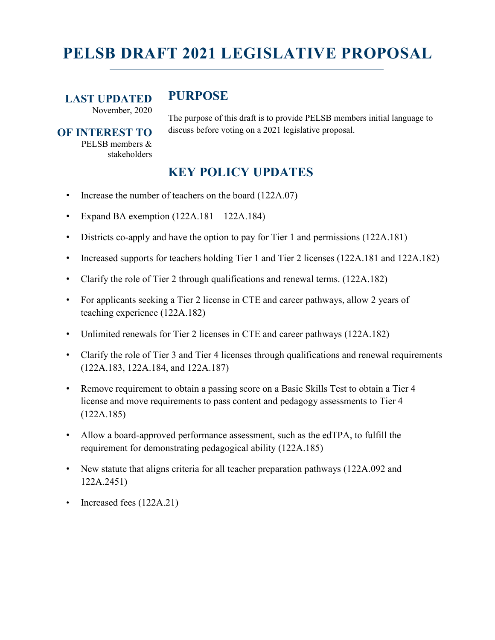# **PELSB DRAFT 2021 LEGISLATIVE PROPOSAL**

**LAST UPDATED** November, 2020

# **PURPOSE**

**OF INTEREST TO** PELSB members & stakeholders

The purpose of this draft is to provide PELSB members initial language to discuss before voting on a 2021 legislative proposal.

# **KEY POLICY UPDATES**

- Increase the number of teachers on the board (122A.07)
- Expand BA exemption  $(122A.181 122A.184)$
- Districts co-apply and have the option to pay for Tier 1 and permissions (122A.181)
- Increased supports for teachers holding Tier 1 and Tier 2 licenses (122A.181 and 122A.182)
- Clarify the role of Tier 2 through qualifications and renewal terms. (122A.182)
- For applicants seeking a Tier 2 license in CTE and career pathways, allow 2 years of teaching experience (122A.182)
- Unlimited renewals for Tier 2 licenses in CTE and career pathways (122A.182)
- Clarify the role of Tier 3 and Tier 4 licenses through qualifications and renewal requirements (122A.183, 122A.184, and 122A.187)
- Remove requirement to obtain a passing score on a Basic Skills Test to obtain a Tier 4 license and move requirements to pass content and pedagogy assessments to Tier 4 (122A.185)
- Allow a board-approved performance assessment, such as the edTPA, to fulfill the requirement for demonstrating pedagogical ability (122A.185)
- New statute that aligns criteria for all teacher preparation pathways (122A.092 and 122A.2451)
- Increased fees (122A.21)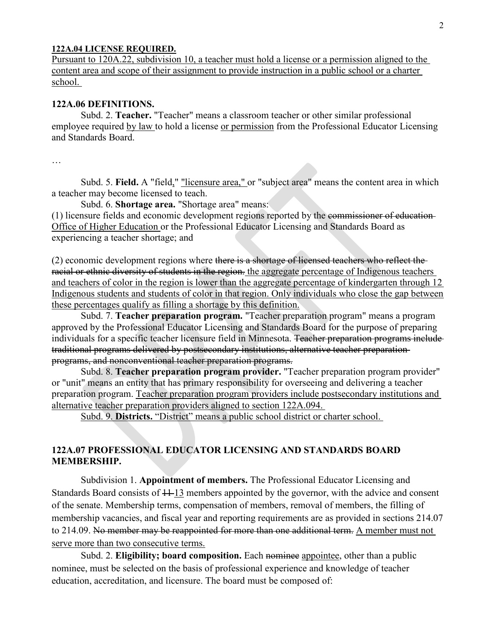#### **122A.04 LICENSE REQUIRED.**

Pursuant to 120A.22, subdivision 10, a teacher must hold a license or a permission aligned to the content area and scope of their assignment to provide instruction in a public school or a charter school.

# **122A.06 DEFINITIONS.**

Subd. 2. **Teacher.** "Teacher" means a classroom teacher or other similar professional employee required by law to hold a license or permission from the Professional Educator Licensing and Standards Board.

…

Subd. 5. **Field.** A "field," "licensure area," or "subject area" means the content area in which a teacher may become licensed to teach.

Subd. 6. **Shortage area.** "Shortage area" means:

(1) licensure fields and economic development regions reported by the commissioner of education Office of Higher Education or the Professional Educator Licensing and Standards Board as experiencing a teacher shortage; and

(2) economic development regions where there is a shortage of licensed teachers who reflect the racial or ethnic diversity of students in the region. the aggregate percentage of Indigenous teachers and teachers of color in the region is lower than the aggregate percentage of kindergarten through 12 Indigenous students and students of color in that region. Only individuals who close the gap between these percentages qualify as filling a shortage by this definition.

Subd. 7. **Teacher preparation program.** "Teacher preparation program" means a program approved by the Professional Educator Licensing and Standards Board for the purpose of preparing individuals for a specific teacher licensure field in Minnesota. Teacher preparation programs include traditional programs delivered by postsecondary institutions, alternative teacher preparation programs, and nonconventional teacher preparation programs.

Subd. 8. **Teacher preparation program provider.** "Teacher preparation program provider" or "unit" means an entity that has primary responsibility for overseeing and delivering a teacher preparation program. Teacher preparation program providers include postsecondary institutions and alternative teacher preparation providers aligned to section 122A.094.

Subd. 9. **Districts.** "District" means a public school district or charter school.

# **122A.07 PROFESSIONAL EDUCATOR LICENSING AND STANDARDS BOARD MEMBERSHIP.**

Subdivision 1. **Appointment of members.** The Professional Educator Licensing and Standards Board consists of  $11-13$  members appointed by the governor, with the advice and consent of the senate. Membership terms, compensation of members, removal of members, the filling of membership vacancies, and fiscal year and reporting requirements are as provided in sections 214.07 to 214.09. No member may be reappointed for more than one additional term. A member must not serve more than two consecutive terms.

Subd. 2. **Eligibility; board composition.** Each nomine appointee, other than a public nominee, must be selected on the basis of professional experience and knowledge of teacher education, accreditation, and licensure. The board must be composed of: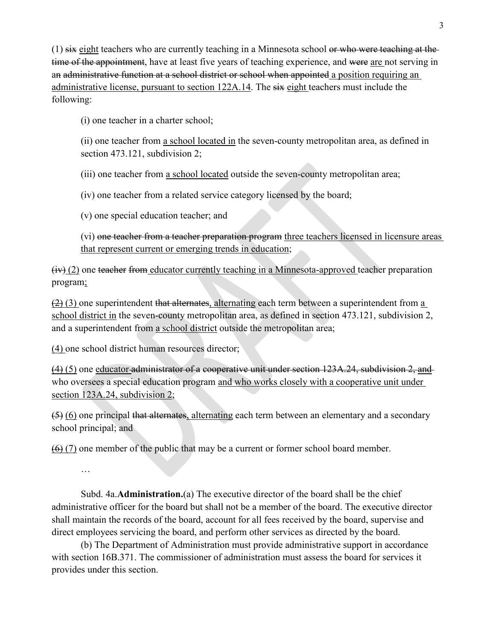$(1)$  six eight teachers who are currently teaching in a Minnesota school or who were teaching at the time of the appointment, have at least five years of teaching experience, and were are not serving in an administrative function at a school district or school when appointed a position requiring an administrative license, pursuant to section 122A.14. The six eight teachers must include the following:

(i) one teacher in a charter school;

(ii) one teacher from a school located in the seven-county metropolitan area, as defined in section 473.121, subdivision 2;

(iii) one teacher from a school located outside the seven-county metropolitan area;

(iv) one teacher from a related service category licensed by the board;

(v) one special education teacher; and

(vi) one teacher from a teacher preparation program three teachers licensed in licensure areas that represent current or emerging trends in education;

 $(iv)$  (2) one teacher from educator currently teaching in a Minnesota-approved teacher preparation program;

 $(2)$  (3) one superintendent that alternates, alternating each term between a superintendent from a school district in the seven-county metropolitan area, as defined in section 473.121, subdivision 2, and a superintendent from a school district outside the metropolitan area;

(4) one school district human resources director;

 $(4)$  (5) one educator administrator of a cooperative unit under section 123A.24, subdivision 2, and who oversees a special education program and who works closely with a cooperative unit under section 123A.24, subdivision 2;

(5) (6) one principal that alternates, alternating each term between an elementary and a secondary school principal; and

 $(6)$  (7) one member of the public that may be a current or former school board member.

…

Subd. 4a.**Administration.**(a) The executive director of the board shall be the chief administrative officer for the board but shall not be a member of the board. The executive director shall maintain the records of the board, account for all fees received by the board, supervise and direct employees servicing the board, and perform other services as directed by the board.

(b) The Department of Administration must provide administrative support in accordance with section 16B.371. The commissioner of administration must assess the board for services it provides under this section.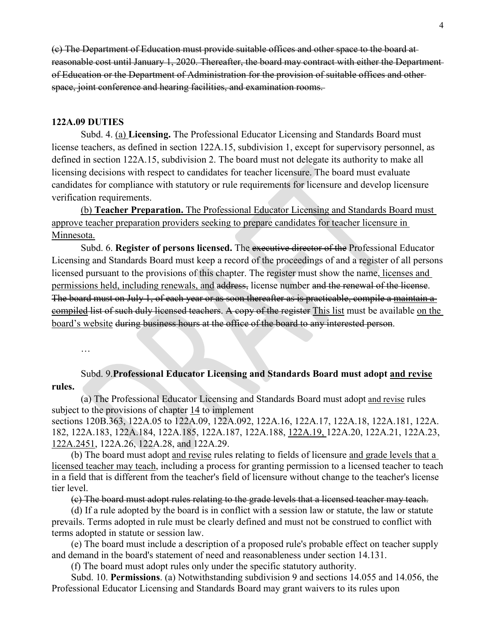(c) The Department of Education must provide suitable offices and other space to the board at reasonable cost until January 1, 2020. Thereafter, the board may contract with either the Department of Education or the Department of Administration for the provision of suitable offices and other space, joint conference and hearing facilities, and examination rooms.

#### **122A.09 DUTIES**

…

Subd. 4. (a) **Licensing.** The Professional Educator Licensing and Standards Board must license teachers, as defined in section 122A.15, subdivision 1, except for supervisory personnel, as defined in section 122A.15, subdivision 2. The board must not delegate its authority to make all licensing decisions with respect to candidates for teacher licensure. The board must evaluate candidates for compliance with statutory or rule requirements for licensure and develop licensure verification requirements.

(b) **Teacher Preparation.** The Professional Educator Licensing and Standards Board must approve teacher preparation providers seeking to prepare candidates for teacher licensure in Minnesota.

Subd. 6. **Register of persons licensed.** The executive director of the Professional Educator Licensing and Standards Board must keep a record of the proceedings of and a register of all persons licensed pursuant to the provisions of this chapter. The register must show the name, licenses and permissions held, including renewals, and address, license number and the renewal of the license. The board must on July 1, of each year or as soon thereafter as is practicable, compile a maintain a compiled list of such duly licensed teachers. A copy of the register This list must be available on the board's website during business hours at the office of the board to any interested person.

Subd. 9.**Professional Educator Licensing and Standards Board must adopt and revise rules.**

(a) The Professional Educator Licensing and Standards Board must adopt and revise rules subject to the provisions of chapter [14](https://www.revisor.mn.gov/statutes/cite/14) to implement

sections [120B.363,](https://www.revisor.mn.gov/statutes/cite/120B.363) [122A.05](https://www.revisor.mn.gov/statutes/cite/122A.05) to [122A.09,](https://www.revisor.mn.gov/statutes/cite/122A.09) [122A.092,](https://www.revisor.mn.gov/statutes/cite/122A.092) [122A.16,](https://www.revisor.mn.gov/statutes/cite/122A.16) [122A.17,](https://www.revisor.mn.gov/statutes/cite/122A.17) [122A.18,](https://www.revisor.mn.gov/statutes/cite/122A.18) [122A.181,](https://www.revisor.mn.gov/statutes/cite/122A.181) [122A.](https://www.revisor.mn.gov/statutes/cite/122A.182) [182,](https://www.revisor.mn.gov/statutes/cite/122A.182) [122A.183,](https://www.revisor.mn.gov/statutes/cite/122A.183) [122A.184,](https://www.revisor.mn.gov/statutes/cite/122A.184) [122A.185,](https://www.revisor.mn.gov/statutes/cite/122A.185) [122A.187,](https://www.revisor.mn.gov/statutes/cite/122A.187) [122A.188,](https://www.revisor.mn.gov/statutes/cite/122A.188) 122A.19, [122A.20,](https://www.revisor.mn.gov/statutes/cite/122A.20) [122A.21,](https://www.revisor.mn.gov/statutes/cite/122A.21) [122A.23,](https://www.revisor.mn.gov/statutes/cite/122A.23) 122A.2451, [122A.26,](https://www.revisor.mn.gov/statutes/cite/122A.26) [122A.28,](https://www.revisor.mn.gov/statutes/cite/122A.28) and [122A.29.](https://www.revisor.mn.gov/statutes/cite/122A.29)

(b) The board must adopt and revise rules relating to fields of licensure and grade levels that a licensed teacher may teach, including a process for granting permission to a licensed teacher to teach in a field that is different from the teacher's field of licensure without change to the teacher's license tier level.

(c) The board must adopt rules relating to the grade levels that a licensed teacher may teach.

(d) If a rule adopted by the board is in conflict with a session law or statute, the law or statute prevails. Terms adopted in rule must be clearly defined and must not be construed to conflict with terms adopted in statute or session law.

(e) The board must include a description of a proposed rule's probable effect on teacher supply and demand in the board's statement of need and reasonableness under section [14.131.](https://www.revisor.mn.gov/statutes/cite/14.131)

(f) The board must adopt rules only under the specific statutory authority.

Subd. 10. **Permissions**. (a) Notwithstanding subdivision 9 and sections 14.055 and 14.056, the Professional Educator Licensing and Standards Board may grant waivers to its rules upon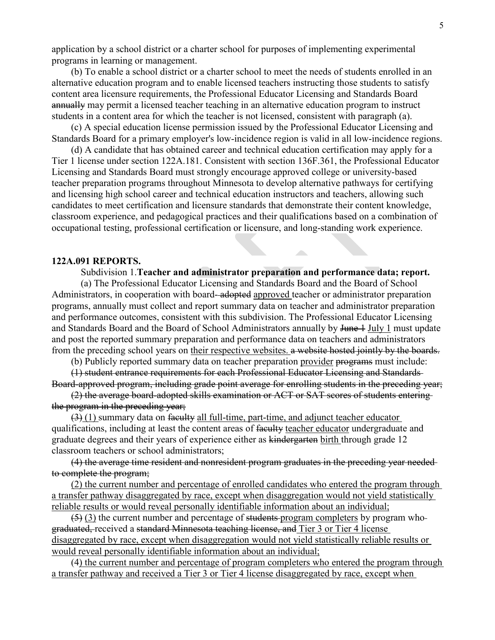application by a school district or a charter school for purposes of implementing experimental programs in learning or management.

(b) To enable a school district or a charter school to meet the needs of students enrolled in an alternative education program and to enable licensed teachers instructing those students to satisfy content area licensure requirements, the Professional Educator Licensing and Standards Board annually may permit a licensed teacher teaching in an alternative education program to instruct students in a content area for which the teacher is not licensed, consistent with paragraph (a).

(c) A special education license permission issued by the Professional Educator Licensing and Standards Board for a primary employer's low-incidence region is valid in all low-incidence regions.

(d) A candidate that has obtained career and technical education certification may apply for a Tier 1 license under section 122A.181. Consistent with section 136F.361, the Professional Educator Licensing and Standards Board must strongly encourage approved college or university-based teacher preparation programs throughout Minnesota to develop alternative pathways for certifying and licensing high school career and technical education instructors and teachers, allowing such candidates to meet certification and licensure standards that demonstrate their content knowledge, classroom experience, and pedagogical practices and their qualifications based on a combination of occupational testing, professional certification or licensure, and long-standing work experience.

#### **122A.091 REPORTS.**

Subdivision 1.**Teacher and administrator preparation and performance data; report.**

(a) The Professional Educator Licensing and Standards Board and the Board of School Administrators, in cooperation with board-adopted approved teacher or administrator preparation programs, annually must collect and report summary data on teacher and administrator preparation and performance outcomes, consistent with this subdivision. The Professional Educator Licensing and Standards Board and the Board of School Administrators annually by June 1 July 1 must update and post the reported summary preparation and performance data on teachers and administrators from the preceding school years on their respective websites. a website hosted jointly by the boards.

(b) Publicly reported summary data on teacher preparation provider programs must include:

(1) student entrance requirements for each Professional Educator Licensing and Standards Board-approved program, including grade point average for enrolling students in the preceding year;

(2) the average board-adopted skills examination or ACT or SAT scores of students entering the program in the preceding year;

 $(3)$  (1) summary data on faculty all full-time, part-time, and adjunct teacher educator qualifications, including at least the content areas of faculty teacher educator undergraduate and graduate degrees and their years of experience either as kindergarten birth through grade 12 classroom teachers or school administrators;

(4) the average time resident and nonresident program graduates in the preceding year needed to complete the program;

(2) the current number and percentage of enrolled candidates who entered the program through a transfer pathway disaggregated by race, except when disaggregation would not yield statistically reliable results or would reveal personally identifiable information about an individual;

 $(5)$  (3) the current number and percentage of students-program completers by program whograduated, received a standard Minnesota teaching license, and Tier 3 or Tier 4 license disaggregated by race, except when disaggregation would not yield statistically reliable results or would reveal personally identifiable information about an individual;

(4) the current number and percentage of program completers who entered the program through a transfer pathway and received a Tier 3 or Tier 4 license disaggregated by race, except when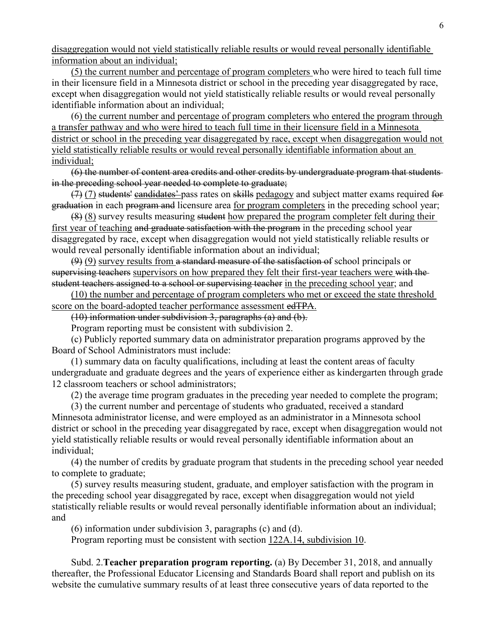disaggregation would not yield statistically reliable results or would reveal personally identifiable information about an individual;

(5) the current number and percentage of program completers who were hired to teach full time in their licensure field in a Minnesota district or school in the preceding year disaggregated by race, except when disaggregation would not yield statistically reliable results or would reveal personally identifiable information about an individual;

(6) the current number and percentage of program completers who entered the program through a transfer pathway and who were hired to teach full time in their licensure field in a Minnesota district or school in the preceding year disaggregated by race, except when disaggregation would not yield statistically reliable results or would reveal personally identifiable information about an individual;

(6) the number of content area credits and other credits by undergraduate program that students in the preceding school year needed to complete to graduate;

(7) (7) students' candidates' pass rates on skills pedagogy and subject matter exams required for graduation in each program and licensure area for program completers in the preceding school year;

(8) (8) survey results measuring student how prepared the program completer felt during their first year of teaching and graduate satisfaction with the program in the preceding school year disaggregated by race, except when disaggregation would not yield statistically reliable results or would reveal personally identifiable information about an individual;

 $(9)$  (9) survey results from a standard measure of the satisfaction of school principals or supervising teachers supervisors on how prepared they felt their first-year teachers were with the student teachers assigned to a school or supervising teacher in the preceding school year; and

(10) the number and percentage of program completers who met or exceed the state threshold score on the board-adopted teacher performance assessment edTPA.

(10) information under subdivision 3, paragraphs (a) and (b).

Program reporting must be consistent with subdivision 2.

(c) Publicly reported summary data on administrator preparation programs approved by the Board of School Administrators must include:

(1) summary data on faculty qualifications, including at least the content areas of faculty undergraduate and graduate degrees and the years of experience either as kindergarten through grade 12 classroom teachers or school administrators;

(2) the average time program graduates in the preceding year needed to complete the program;

(3) the current number and percentage of students who graduated, received a standard Minnesota administrator license, and were employed as an administrator in a Minnesota school district or school in the preceding year disaggregated by race, except when disaggregation would not yield statistically reliable results or would reveal personally identifiable information about an individual;

(4) the number of credits by graduate program that students in the preceding school year needed to complete to graduate;

(5) survey results measuring student, graduate, and employer satisfaction with the program in the preceding school year disaggregated by race, except when disaggregation would not yield statistically reliable results or would reveal personally identifiable information about an individual; and

(6) information under subdivision 3, paragraphs (c) and (d).

Program reporting must be consistent with section [122A.14, subdivision 10.](https://www.revisor.mn.gov/statutes/cite/122A.14#stat.122A.14.10)

Subd. 2.**Teacher preparation program reporting.** (a) By December 31, 2018, and annually thereafter, the Professional Educator Licensing and Standards Board shall report and publish on its website the cumulative summary results of at least three consecutive years of data reported to the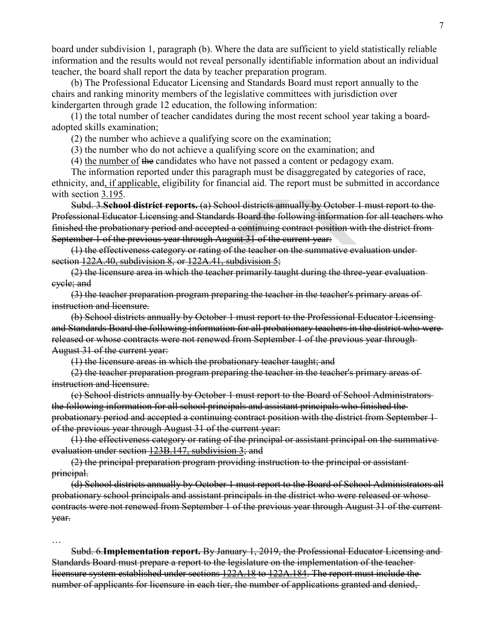board under subdivision 1, paragraph (b). Where the data are sufficient to yield statistically reliable information and the results would not reveal personally identifiable information about an individual teacher, the board shall report the data by teacher preparation program.

(b) The Professional Educator Licensing and Standards Board must report annually to the chairs and ranking minority members of the legislative committees with jurisdiction over kindergarten through grade 12 education, the following information:

(1) the total number of teacher candidates during the most recent school year taking a boardadopted skills examination;

(2) the number who achieve a qualifying score on the examination;

(3) the number who do not achieve a qualifying score on the examination; and

(4) the number of the candidates who have not passed a content or pedagogy exam.

The information reported under this paragraph must be disaggregated by categories of race, ethnicity, and, if applicable, eligibility for financial aid. The report must be submitted in accordance with section [3.195.](https://www.revisor.mn.gov/statutes/cite/3.195)

Subd. 3.**School district reports.** (a) School districts annually by October 1 must report to the Professional Educator Licensing and Standards Board the following information for all teachers who finished the probationary period and accepted a continuing contract position with the district from September 1 of the previous year through August 31 of the current year:

(1) the effectiveness category or rating of the teacher on the summative evaluation under section [122A.40, subdivision 8,](https://www.revisor.mn.gov/statutes/cite/122A.40#stat.122A.40.8) or [122A.41, subdivision 5;](https://www.revisor.mn.gov/statutes/cite/122A.41#stat.122A.41.5)

(2) the licensure area in which the teacher primarily taught during the three-year evaluation cycle; and

(3) the teacher preparation program preparing the teacher in the teacher's primary areas of instruction and licensure.

(b) School districts annually by October 1 must report to the Professional Educator Licensing and Standards Board the following information for all probationary teachers in the district who were released or whose contracts were not renewed from September 1 of the previous year through August 31 of the current year:

(1) the licensure areas in which the probationary teacher taught; and

(2) the teacher preparation program preparing the teacher in the teacher's primary areas of instruction and licensure.

(c) School districts annually by October 1 must report to the Board of School Administrators the following information for all school principals and assistant principals who finished the probationary period and accepted a continuing contract position with the district from September 1 of the previous year through August 31 of the current year:

(1) the effectiveness category or rating of the principal or assistant principal on the summative evaluation under section [123B.147, subdivision 3;](https://www.revisor.mn.gov/statutes/cite/123B.147#stat.123B.147.3) and

(2) the principal preparation program providing instruction to the principal or assistant principal.

(d) School districts annually by October 1 must report to the Board of School Administrators all probationary school principals and assistant principals in the district who were released or whose contracts were not renewed from September 1 of the previous year through August 31 of the current year.

…

Subd. 6.**Implementation report.** By January 1, 2019, the Professional Educator Licensing and Standards Board must prepare a report to the legislature on the implementation of the teacher licensure system established under sections [122A.18](https://www.revisor.mn.gov/statutes/cite/122A.18) to [122A.184.](https://www.revisor.mn.gov/statutes/cite/122A.184) The report must include the number of applicants for licensure in each tier, the number of applications granted and denied,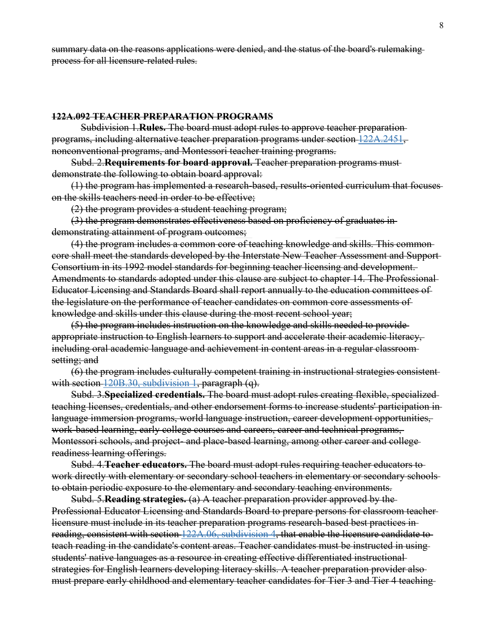summary data on the reasons applications were denied, and the status of the board's rulemaking process for all licensure-related rules.

#### **122A.092 TEACHER PREPARATION PROGRAMS**

Subdivision 1.**Rules.** The board must adopt rules to approve teacher preparation programs, including alternative teacher preparation programs under section [122A.2451,](https://www.revisor.mn.gov/statutes/cite/122A.2451) nonconventional programs, and Montessori teacher training programs.

Subd. 2.**Requirements for board approval.** Teacher preparation programs must demonstrate the following to obtain board approval:

(1) the program has implemented a research-based, results-oriented curriculum that focuses on the skills teachers need in order to be effective;

(2) the program provides a student teaching program;

(3) the program demonstrates effectiveness based on proficiency of graduates in demonstrating attainment of program outcomes;

(4) the program includes a common core of teaching knowledge and skills. This common core shall meet the standards developed by the Interstate New Teacher Assessment and Support Consortium in its 1992 model standards for beginning teacher licensing and development. Amendments to standards adopted under this clause are subject to chapter 14. The Professional Educator Licensing and Standards Board shall report annually to the education committees of the legislature on the performance of teacher candidates on common core assessments of knowledge and skills under this clause during the most recent school year;

(5) the program includes instruction on the knowledge and skills needed to provide appropriate instruction to English learners to support and accelerate their academic literacy, including oral academic language and achievement in content areas in a regular classroom setting; and

(6) the program includes culturally competent training in instructional strategies consistent with section  $120B.30$ , subdivision 1, paragraph (q).

Subd. 3.**Specialized credentials.** The board must adopt rules creating flexible, specialized teaching licenses, credentials, and other endorsement forms to increase students' participation in language immersion programs, world language instruction, career development opportunities, work-based learning, early college courses and careers, career and technical programs, Montessori schools, and project- and place-based learning, among other career and college readiness learning offerings.

Subd. 4.**Teacher educators.** The board must adopt rules requiring teacher educators to work directly with elementary or secondary school teachers in elementary or secondary schools to obtain periodic exposure to the elementary and secondary teaching environments.

Subd. 5.**Reading strategies.** (a) A teacher preparation provider approved by the Professional Educator Licensing and Standards Board to prepare persons for classroom teacher licensure must include in its teacher preparation programs research-based best practices in reading, consistent with section [122A.06, subdivision 4,](https://www.revisor.mn.gov/statutes/cite/122A.06#stat.122A.06.4) that enable the licensure candidate to teach reading in the candidate's content areas. Teacher candidates must be instructed in using students' native languages as a resource in creating effective differentiated instructional strategies for English learners developing literacy skills. A teacher preparation provider also must prepare early childhood and elementary teacher candidates for Tier 3 and Tier 4 teaching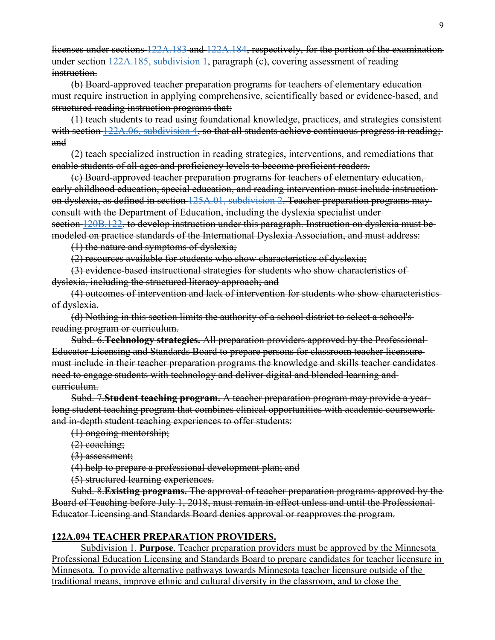licenses under sections [122A.183](https://www.revisor.mn.gov/statutes/cite/122A.183) and [122A.184,](https://www.revisor.mn.gov/statutes/cite/122A.184) respectively, for the portion of the examination under section [122A.185, subdivision 1,](https://www.revisor.mn.gov/statutes/cite/122A.185#stat.122A.185.1) paragraph (c), covering assessment of reading instruction.

(b) Board-approved teacher preparation programs for teachers of elementary education must require instruction in applying comprehensive, scientifically based or evidence-based, and structured reading instruction programs that:

(1) teach students to read using foundational knowledge, practices, and strategies consistent with section [122A.06, subdivision 4,](https://www.revisor.mn.gov/statutes/cite/122A.06#stat.122A.06.4) so that all students achieve continuous progress in reading; and

(2) teach specialized instruction in reading strategies, interventions, and remediations that enable students of all ages and proficiency levels to become proficient readers.

(c) Board-approved teacher preparation programs for teachers of elementary education, early childhood education, special education, and reading intervention must include instruction on dyslexia, as defined in section [125A.01, subdivision 2.](https://www.revisor.mn.gov/statutes/cite/125A.01#stat.125A.01.2) Teacher preparation programs may consult with the Department of Education, including the dyslexia specialist under section [120B.122,](https://www.revisor.mn.gov/statutes/cite/120B.122) to develop instruction under this paragraph. Instruction on dyslexia must be modeled on practice standards of the International Dyslexia Association, and must address:

(1) the nature and symptoms of dyslexia;

(2) resources available for students who show characteristics of dyslexia;

(3) evidence-based instructional strategies for students who show characteristics of dyslexia, including the structured literacy approach; and

(4) outcomes of intervention and lack of intervention for students who show characteristics of dyslexia.

(d) Nothing in this section limits the authority of a school district to select a school's reading program or curriculum.

Subd. 6.**Technology strategies.** All preparation providers approved by the Professional Educator Licensing and Standards Board to prepare persons for classroom teacher licensure must include in their teacher preparation programs the knowledge and skills teacher candidates need to engage students with technology and deliver digital and blended learning and curriculum.

Subd. 7.**Student teaching program.** A teacher preparation program may provide a yearlong student teaching program that combines clinical opportunities with academic coursework and in-depth student teaching experiences to offer students:

(1) ongoing mentorship;

(2) coaching;

(3) assessment;

(4) help to prepare a professional development plan; and

(5) structured learning experiences.

Subd. 8.**Existing programs.** The approval of teacher preparation programs approved by the Board of Teaching before July 1, 2018, must remain in effect unless and until the Professional Educator Licensing and Standards Board denies approval or reapproves the program.

# **122A.094 TEACHER PREPARATION PROVIDERS.**

Subdivision 1. **Purpose**. Teacher preparation providers must be approved by the Minnesota Professional Education Licensing and Standards Board to prepare candidates for teacher licensure in Minnesota. To provide alternative pathways towards Minnesota teacher licensure outside of the traditional means, improve ethnic and cultural diversity in the classroom, and to close the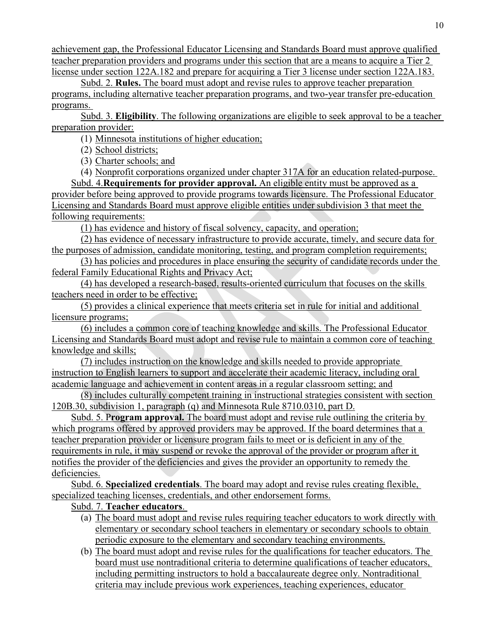achievement gap, the Professional Educator Licensing and Standards Board must approve qualified teacher preparation providers and programs under this section that are a means to acquire a Tier 2 license under section [122A.182](https://www.revisor.mn.gov/statutes/cite/122A.182) and prepare for acquiring a Tier 3 license under section [122A.183.](https://www.revisor.mn.gov/statutes/cite/122A.183)

Subd. 2. **Rules.** The board must adopt and revise rules to approve teacher preparation programs, including alternative teacher preparation programs, and two-year transfer pre-education programs.

Subd. 3. **Eligibility**. The following organizations are eligible to seek approval to be a teacher preparation provider:

(1) Minnesota institutions of higher education;

(2) School districts;

(3) Charter schools; and

(4) Nonprofit corporations organized under chapter 317A for an education related-purpose.

Subd. 4.**Requirements for provider approval.** An eligible entity must be approved as a provider before being approved to provide programs towards licensure. The Professional Educator Licensing and Standards Board must approve eligible entities under subdivision 3 that meet the following requirements:

(1) has evidence and history of fiscal solvency, capacity, and operation;

(2) has evidence of necessary infrastructure to provide accurate, timely, and secure data for the purposes of admission, candidate monitoring, testing, and program completion requirements;

(3) has policies and procedures in place ensuring the security of candidate records under the federal Family Educational Rights and Privacy Act;

(4) has developed a research-based, results-oriented curriculum that focuses on the skills teachers need in order to be effective;

(5) provides a clinical experience that meets criteria set in rule for initial and additional licensure programs;

(6) includes a common core of teaching knowledge and skills. The Professional Educator Licensing and Standards Board must adopt and revise rule to maintain a common core of teaching knowledge and skills;

(7) includes instruction on the knowledge and skills needed to provide appropriate instruction to English learners to support and accelerate their academic literacy, including oral academic language and achievement in content areas in a regular classroom setting; and

(8) includes culturally competent training in instructional strategies consistent with section 120B.30, subdivision 1, paragraph (q) and Minnesota Rule 8710.0310, part D.

Subd. 5. P**rogram approval.** The board must adopt and revise rule outlining the criteria by which programs offered by approved providers may be approved. If the board determines that a teacher preparation provider or licensure program fails to meet or is deficient in any of the requirements in rule, it may suspend or revoke the approval of the provider or program after it notifies the provider of the deficiencies and gives the provider an opportunity to remedy the deficiencies.

Subd. 6. **Specialized credentials**. The board may adopt and revise rules creating flexible, specialized teaching licenses, credentials, and other endorsement forms.

# Subd. 7. **Teacher educators**.

- (a) The board must adopt and revise rules requiring teacher educators to work directly with elementary or secondary school teachers in elementary or secondary schools to obtain periodic exposure to the elementary and secondary teaching environments.
- (b) The board must adopt and revise rules for the qualifications for teacher educators. The board must use nontraditional criteria to determine qualifications of teacher educators, including permitting instructors to hold a baccalaureate degree only. Nontraditional criteria may include previous work experiences, teaching experiences, educator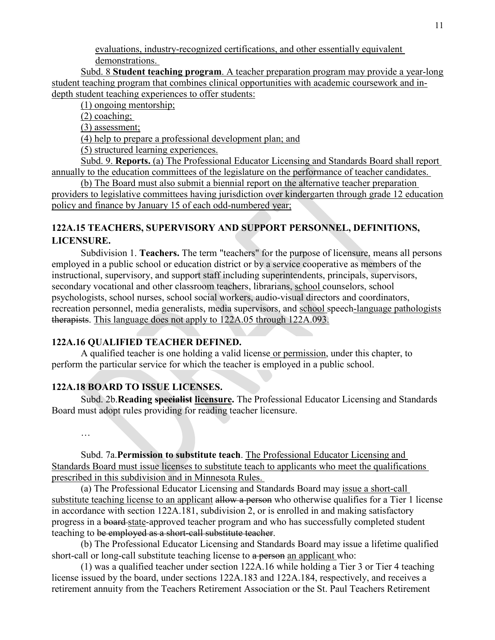evaluations, industry-recognized certifications, and other essentially equivalent demonstrations.

Subd. 8 **Student teaching program**. A teacher preparation program may provide a year-long student teaching program that combines clinical opportunities with academic coursework and indepth student teaching experiences to offer students:

(1) ongoing mentorship;

(2) coaching;

(3) assessment;

(4) help to prepare a professional development plan; and

(5) structured learning experiences.

Subd. 9. **Reports.** (a) The Professional Educator Licensing and Standards Board shall report annually to the education committees of the legislature on the performance of teacher candidates.

(b) The Board must also submit a biennial report on the alternative teacher preparation providers to legislative committees having jurisdiction over kindergarten through grade 12 education policy and finance by January 15 of each odd-numbered year;

# **122A.15 TEACHERS, SUPERVISORY AND SUPPORT PERSONNEL, DEFINITIONS, LICENSURE.**

Subdivision 1. **Teachers.** The term "teachers" for the purpose of licensure, means all persons employed in a public school or education district or by a service cooperative as members of the instructional, supervisory, and support staff including superintendents, principals, supervisors, secondary vocational and other classroom teachers, librarians, school counselors, school psychologists, school nurses, school social workers, audio-visual directors and coordinators, recreation personnel, media generalists, media supervisors, and school speech-language pathologists therapists. This language does not apply to 122A.05 through 122A.093.

# **122A.16 QUALIFIED TEACHER DEFINED.**

A qualified teacher is one holding a valid license or permission, under this chapter, to perform the particular service for which the teacher is employed in a public school.

# **122A.18 BOARD TO ISSUE LICENSES.**

Subd. 2b.**Reading specialist licensure.** The Professional Educator Licensing and Standards Board must adopt rules providing for reading teacher licensure.

…

Subd. 7a.**Permission to substitute teach**. The Professional Educator Licensing and Standards Board must issue licenses to substitute teach to applicants who meet the qualifications prescribed in this subdivision and in Minnesota Rules.

(a) The Professional Educator Licensing and Standards Board may issue a short-call substitute teaching license to an applicant allow a person who otherwise qualifies for a Tier 1 license in accordance with section 122A.181, subdivision 2, or is enrolled in and making satisfactory progress in a board state-approved teacher program and who has successfully completed student teaching to be employed as a short-call substitute teacher.

(b) The Professional Educator Licensing and Standards Board may issue a lifetime qualified short-call or long-call substitute teaching license to a person an applicant who:

(1) was a qualified teacher under section 122A.16 while holding a Tier 3 or Tier 4 teaching license issued by the board, under sections 122A.183 and 122A.184, respectively, and receives a retirement annuity from the Teachers Retirement Association or the St. Paul Teachers Retirement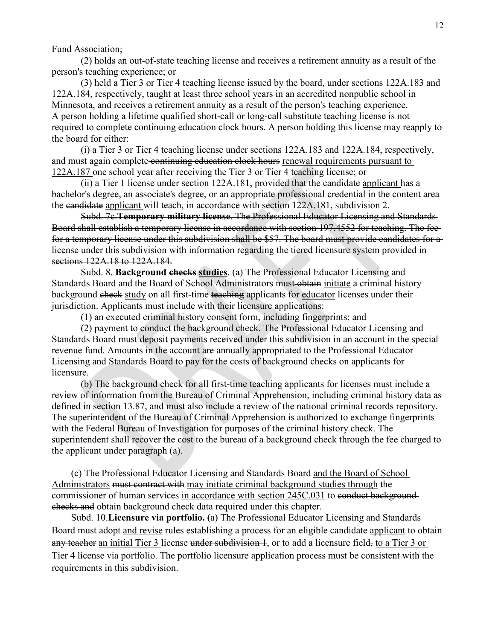Fund Association;

(2) holds an out-of-state teaching license and receives a retirement annuity as a result of the person's teaching experience; or

(3) held a Tier 3 or Tier 4 teaching license issued by the board, under sections 122A.183 and 122A.184, respectively, taught at least three school years in an accredited nonpublic school in Minnesota, and receives a retirement annuity as a result of the person's teaching experience. A person holding a lifetime qualified short-call or long-call substitute teaching license is not required to complete continuing education clock hours. A person holding this license may reapply to the board for either:

(i) a Tier 3 or Tier 4 teaching license under sections 122A.183 and 122A.184, respectively, and must again complete continuing education clock hours renewal requirements pursuant to 122A.187 one school year after receiving the Tier 3 or Tier 4 teaching license; or

(ii) a Tier 1 license under section 122A.181, provided that the candidate applicant has a bachelor's degree, an associate's degree, or an appropriate professional credential in the content area the candidate applicant will teach, in accordance with section 122A.181, subdivision 2.

Subd. 7c.**Temporary military license**. The Professional Educator Licensing and Standards Board shall establish a temporary license in accordance with section 197.4552 for teaching. The fee for a temporary license under this subdivision shall be \$57. The board must provide candidates for a license under this subdivision with information regarding the tiered licensure system provided in sections 122A.18 to 122A.184.

Subd. 8. **Background checks studies**. (a) The Professional Educator Licensing and Standards Board and the Board of School Administrators must-obtain initiate a criminal history background check study on all first-time teaching applicants for educator licenses under their jurisdiction. Applicants must include with their licensure applications:

(1) an executed criminal history consent form, including fingerprints; and

(2) payment to conduct the background check. The Professional Educator Licensing and Standards Board must deposit payments received under this subdivision in an account in the special revenue fund. Amounts in the account are annually appropriated to the Professional Educator Licensing and Standards Board to pay for the costs of background checks on applicants for licensure.

(b) The background check for all first-time teaching applicants for licenses must include a review of information from the Bureau of Criminal Apprehension, including criminal history data as defined in section 13.87, and must also include a review of the national criminal records repository. The superintendent of the Bureau of Criminal Apprehension is authorized to exchange fingerprints with the Federal Bureau of Investigation for purposes of the criminal history check. The superintendent shall recover the cost to the bureau of a background check through the fee charged to the applicant under paragraph (a).

(c) The Professional Educator Licensing and Standards Board and the Board of School Administrators must contract with may initiate criminal background studies through the commissioner of human services in accordance with section 245C.031 to conduct backgroundchecks and obtain background check data required under this chapter.

Subd. 10.**Licensure via portfolio. (**a) The Professional Educator Licensing and Standards Board must adopt and revise rules establishing a process for an eligible candidate applicant to obtain any teacher an initial Tier 3 license under subdivision 1, or to add a licensure field, to a Tier 3 or Tier 4 license via portfolio. The portfolio licensure application process must be consistent with the requirements in this subdivision.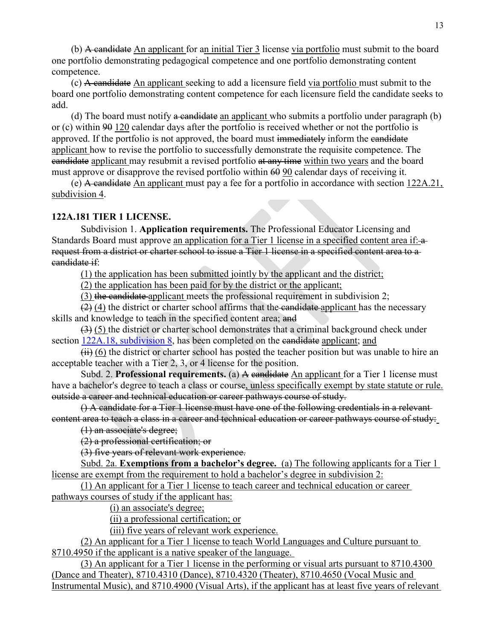(b) A candidate An applicant for an initial Tier 3 license via portfolio must submit to the board one portfolio demonstrating pedagogical competence and one portfolio demonstrating content competence.

(c) A candidate An applicant seeking to add a licensure field via portfolio must submit to the board one portfolio demonstrating content competence for each licensure field the candidate seeks to add.

(d) The board must notify a candidate an applicant who submits a portfolio under paragraph (b) or (c) within  $90$  120 calendar days after the portfolio is received whether or not the portfolio is approved. If the portfolio is not approved, the board must immediately inform the candidate applicant how to revise the portfolio to successfully demonstrate the requisite competence. The candidate applicant may resubmit a revised portfolio at any time within two years and the board must approve or disapprove the revised portfolio within  $60\,90$  calendar days of receiving it.

(e) A candidate An applicant must pay a fee for a portfolio in accordance with section [122A.21,](https://www.revisor.mn.gov/statutes/cite/122A.21#stat.122A.21.4)  [subdivision 4.](https://www.revisor.mn.gov/statutes/cite/122A.21#stat.122A.21.4)

#### **122A.181 TIER 1 LICENSE.**

Subdivision 1. **Application requirements.** The Professional Educator Licensing and Standards Board must approve an application for a Tier 1 license in a specified content area if: a request from a district or charter school to issue a Tier 1 license in a specified content area to a candidate if:

(1) the application has been submitted jointly by the applicant and the district;

(2) the application has been paid for by the district or the applicant;

(3) the candidate applicant meets the professional requirement in subdivision 2;

 $(2)$  (4) the district or charter school affirms that the candidate applicant has the necessary skills and knowledge to teach in the specified content area; and

(3) (5) the district or charter school demonstrates that a criminal background check under section [122A.18, subdivision 8,](https://www.revisor.mn.gov/statutes/cite/122A.18#stat.122A.18.8) has been completed on the eandidate applicant; and

 $\overrightarrow{ii}$  (6) the district or charter school has posted the teacher position but was unable to hire an acceptable teacher with a Tier 2, 3, or 4 license for the position.

Subd. 2. **Professional requirements.** (a) A candidate An applicant for a Tier 1 license must have a bachelor's degree to teach a class or course, unless specifically exempt by state statute or rule. outside a career and technical education or career pathways course of study.

() A candidate for a Tier 1 license must have one of the following credentials in a relevant content area to teach a class in a career and technical education or career pathways course of study:

(1) an associate's degree;

(2) a professional certification; or

(3) five years of relevant work experience.

Subd. 2a. **Exemptions from a bachelor's degree.** (a) The following applicants for a Tier 1 license are exempt from the requirement to hold a bachelor's degree in subdivision 2:

(1) An applicant for a Tier 1 license to teach career and technical education or career pathways courses of study if the applicant has:

(i) an associate's degree;

(ii) a professional certification; or

(iii) five years of relevant work experience.

(2) An applicant for a Tier 1 license to teach World Languages and Culture pursuant to 8710.4950 if the applicant is a native speaker of the language.

(3) An applicant for a Tier 1 license in the performing or visual arts pursuant to 8710.4300 (Dance and Theater), 8710.4310 (Dance), 8710.4320 (Theater), 8710.4650 (Vocal Music and Instrumental Music), and 8710.4900 (Visual Arts), if the applicant has at least five years of relevant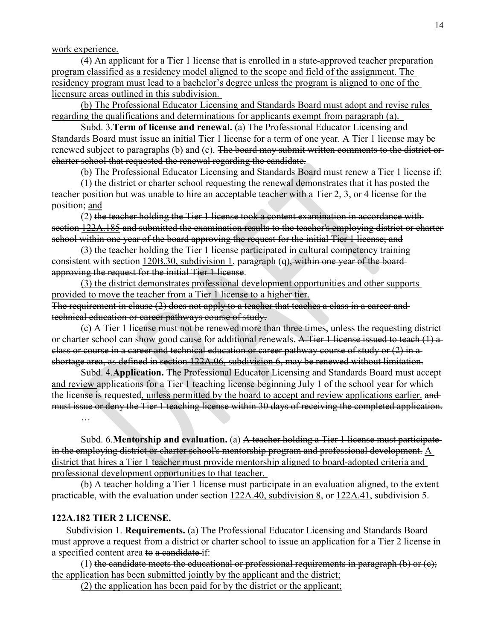work experience.

(4) An applicant for a Tier 1 license that is enrolled in a state-approved teacher preparation program classified as a residency model aligned to the scope and field of the assignment. The residency program must lead to a bachelor's degree unless the program is aligned to one of the licensure areas outlined in this subdivision.

(b) The Professional Educator Licensing and Standards Board must adopt and revise rules regarding the qualifications and determinations for applicants exempt from paragraph (a).

Subd. 3.**Term of license and renewal.** (a) The Professional Educator Licensing and Standards Board must issue an initial Tier 1 license for a term of one year. A Tier 1 license may be renewed subject to paragraphs (b) and (c). The board may submit written comments to the district orcharter school that requested the renewal regarding the candidate.

(b) The Professional Educator Licensing and Standards Board must renew a Tier 1 license if:

(1) the district or charter school requesting the renewal demonstrates that it has posted the teacher position but was unable to hire an acceptable teacher with a Tier 2, 3, or 4 license for the position; and

(2) the teacher holding the Tier 1 license took a content examination in accordance with section [122A.185](https://www.revisor.mn.gov/statutes/cite/122A.185) and submitted the examination results to the teacher's employing district or charter school within one year of the board approving the request for the initial Tier 1 license; and

(3) the teacher holding the Tier 1 license participated in cultural competency training consistent with section [120B.30, subdivision 1,](https://www.revisor.mn.gov/statutes/cite/120B.30#stat.120B.30.1) paragraph (q), within one year of the boardapproving the request for the initial Tier 1 license.

(3) the district demonstrates professional development opportunities and other supports provided to move the teacher from a Tier 1 license to a higher tier.

The requirement in clause (2) does not apply to a teacher that teaches a class in a career and technical education or career pathways course of study.

(c) A Tier 1 license must not be renewed more than three times, unless the requesting district or charter school can show good cause for additional renewals. A Tier 1 license issued to teach (1) a class or course in a career and technical education or career pathway course of study or (2) in a shortage area, as defined in section [122A.06, subdivision 6,](https://www.revisor.mn.gov/statutes/cite/122A.06#stat.122A.06.6) may be renewed without limitation.

Subd. 4.**Application.** The Professional Educator Licensing and Standards Board must accept and review applications for a Tier 1 teaching license beginning July 1 of the school year for which the license is requested, unless permitted by the board to accept and review applications earlier. and must issue or deny the Tier 1 teaching license within 30 days of receiving the completed application.

Subd. 6.**Mentorship and evaluation.** (a) A teacher holding a Tier 1 license must participate in the employing district or charter school's mentorship program and professional development.  $\underline{A}$ district that hires a Tier 1 teacher must provide mentorship aligned to board-adopted criteria and professional development opportunities to that teacher.

(b) A teacher holding a Tier 1 license must participate in an evaluation aligned, to the extent practicable, with the evaluation under section [122A.40, subdivision 8,](https://www.revisor.mn.gov/statutes/cite/122A.40#stat.122A.40.8) or [122A.41,](https://www.revisor.mn.gov/statutes/cite/122A.41) subdivision 5.

#### **122A.182 TIER 2 LICENSE.**

…

Subdivision 1. **Requirements.** (a) The Professional Educator Licensing and Standards Board must approve a request from a district or charter school to issue an application for a Tier 2 license in a specified content area to a candidate if:

(1) the candidate meets the educational or professional requirements in paragraph (b) or  $(c)$ ; the application has been submitted jointly by the applicant and the district;

(2) the application has been paid for by the district or the applicant;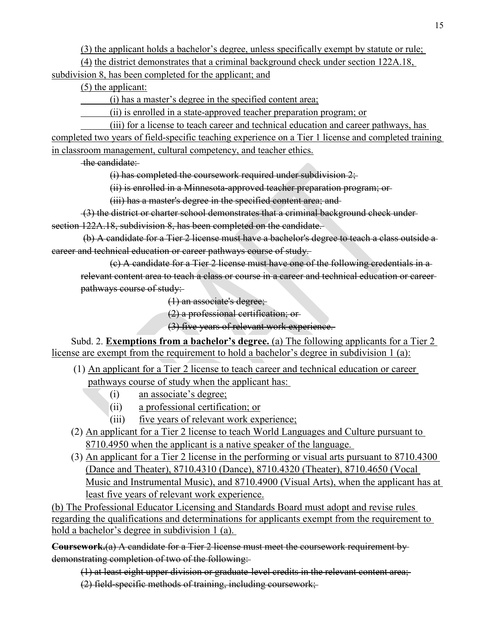(3) the applicant holds a bachelor's degree, unless specifically exempt by statute or rule;

(4) the district demonstrates that a criminal background check under section 122A.18, subdivision 8, has been completed for the applicant; and

(5) the applicant:

(i) has a master's degree in the specified content area;

(ii) is enrolled in a state-approved teacher preparation program; or

(iii) for a license to teach career and technical education and career pathways, has

completed two years of field-specific teaching experience on a Tier 1 license and completed training in classroom management, cultural competency, and teacher ethics.

the candidate:

(i) has completed the coursework required under subdivision 2;

(ii) is enrolled in a Minnesota-approved teacher preparation program; or

(iii) has a master's degree in the specified content area; and

(3) the district or charter school demonstrates that a criminal background check under section 122A.18, subdivision 8, has been completed on the candidate.

(b) A candidate for a Tier 2 license must have a bachelor's degree to teach a class outside a career and technical education or career pathways course of study.

(c) A candidate for a Tier 2 license must have one of the following credentials in a relevant content area to teach a class or course in a career and technical education or career pathways course of study:

(1) an associate's degree;

(2) a professional certification; or

(3) five years of relevant work experience.

Subd. 2. **Exemptions from a bachelor's degree.** (a) The following applicants for a Tier 2 license are exempt from the requirement to hold a bachelor's degree in subdivision 1 (a):

- (1) An applicant for a Tier 2 license to teach career and technical education or career pathways course of study when the applicant has:
	- (i) an associate's degree;
	- (ii) a professional certification; or
	- (iii) five years of relevant work experience;
- (2) An applicant for a Tier 2 license to teach World Languages and Culture pursuant to 8710.4950 when the applicant is a native speaker of the language.
- (3) An applicant for a Tier 2 license in the performing or visual arts pursuant to 8710.4300 (Dance and Theater), 8710.4310 (Dance), 8710.4320 (Theater), 8710.4650 (Vocal Music and Instrumental Music), and 8710.4900 (Visual Arts), when the applicant has at least five years of relevant work experience.

(b) The Professional Educator Licensing and Standards Board must adopt and revise rules regarding the qualifications and determinations for applicants exempt from the requirement to hold a bachelor's degree in subdivision 1 (a).

**Coursework.**(a) A candidate for a Tier 2 license must meet the coursework requirement by demonstrating completion of two of the following:

- (1) at least eight upper division or graduate-level credits in the relevant content area;
- (2) field-specific methods of training, including coursework;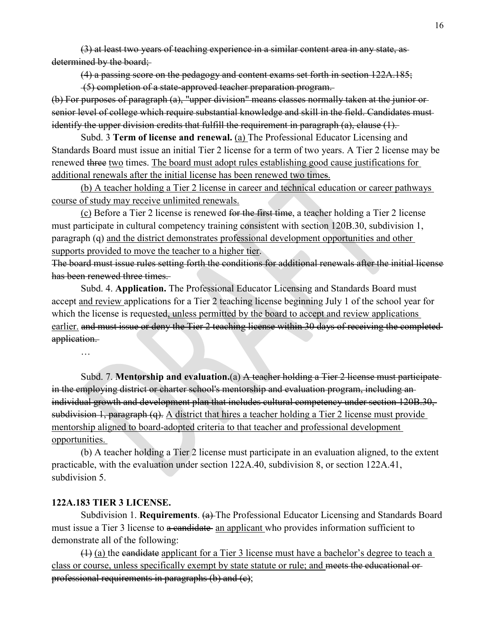(3) at least two years of teaching experience in a similar content area in any state, as determined by the board;

(4) a passing score on the pedagogy and content exams set forth in section 122A.185;

(5) completion of a state-approved teacher preparation program.

(b) For purposes of paragraph (a), "upper division" means classes normally taken at the junior or senior level of college which require substantial knowledge and skill in the field. Candidates must identify the upper division credits that fulfill the requirement in paragraph (a), clause (1).

Subd. 3 **Term of license and renewal.** (a) The Professional Educator Licensing and Standards Board must issue an initial Tier 2 license for a term of two years. A Tier 2 license may be renewed three two times. The board must adopt rules establishing good cause justifications for additional renewals after the initial license has been renewed two times.

(b) A teacher holding a Tier 2 license in career and technical education or career pathways course of study may receive unlimited renewals.

(c) Before a Tier 2 license is renewed for the first time, a teacher holding a Tier 2 license must participate in cultural competency training consistent with section 120B.30, subdivision 1, paragraph (q) and the district demonstrates professional development opportunities and other supports provided to move the teacher to a higher tier.

The board must issue rules setting forth the conditions for additional renewals after the initial license has been renewed three times.

Subd. 4. **Application.** The Professional Educator Licensing and Standards Board must accept and review applications for a Tier 2 teaching license beginning July 1 of the school year for which the license is requested, unless permitted by the board to accept and review applications earlier. and must issue or deny the Tier 2 teaching license within 30 days of receiving the completed application.

Subd. 7. **Mentorship and evaluation.**(a) A teacher holding a Tier 2 license must participate in the employing district or charter school's mentorship and evaluation program, including an individual growth and development plan that includes cultural competency under section 120B.30, subdivision 1, paragraph (q). A district that hires a teacher holding a Tier 2 license must provide mentorship aligned to board-adopted criteria to that teacher and professional development opportunities.

(b) A teacher holding a Tier 2 license must participate in an evaluation aligned, to the extent practicable, with the evaluation under section 122A.40, subdivision 8, or section 122A.41, subdivision 5.

#### **122A.183 TIER 3 LICENSE.**

…

Subdivision 1. **Requirements**. (a) The Professional Educator Licensing and Standards Board must issue a Tier 3 license to a candidate an applicant who provides information sufficient to demonstrate all of the following:

(1) (a) the candidate applicant for a Tier 3 license must have a bachelor's degree to teach a class or course, unless specifically exempt by state statute or rule; and meets the educational or professional requirements in paragraphs (b) and (c);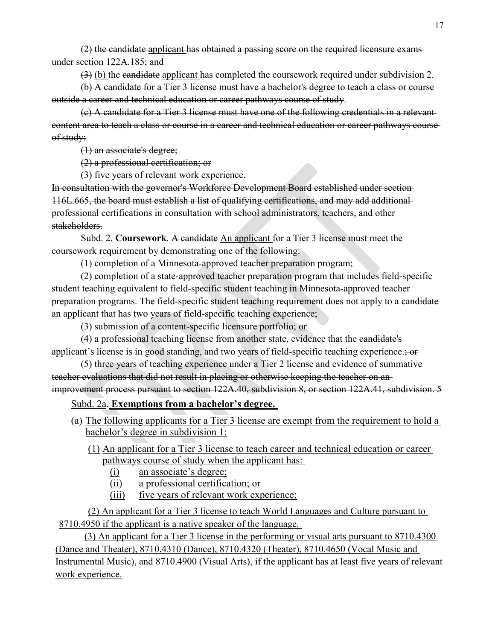(2) the candidate applicant has obtained a passing score on the required licensure exams under section 122A.185; and

(3) (b) the candidate applicant has completed the coursework required under subdivision 2.

(b) A candidate for a Tier 3 license must have a bachelor's degree to teach a class or course outside a career and technical education or career pathways course of study.

(c) A candidate for a Tier 3 license must have one of the following credentials in a relevant content area to teach a class or course in a career and technical education or career pathways course of study:

(1) an associate's degree;

(2) a professional certification; or

(3) five years of relevant work experience.

In consultation with the governor's Workforce Development Board established under section 116L.665, the board must establish a list of qualifying certifications, and may add additional professional certifications in consultation with school administrators, teachers, and other stakeholders.

Subd. 2. **Coursework**. A candidate An applicant for a Tier 3 license must meet the coursework requirement by demonstrating one of the following:

(1) completion of a Minnesota-approved teacher preparation program;

(2) completion of a state-approved teacher preparation program that includes field-specific student teaching equivalent to field-specific student teaching in Minnesota-approved teacher preparation programs. The field-specific student teaching requirement does not apply to a candidate an applicant that has two years of field-specific teaching experience;

(3) submission of a content-specific licensure portfolio; or

(4) a professional teaching license from another state, evidence that the candidate's applicant's license is in good standing, and two years of field-specific teaching experience.; or

(5) three years of teaching experience under a Tier 2 license and evidence of summative teacher evaluations that did not result in placing or otherwise keeping the teacher on an improvement process pursuant to section 122A.40, subdivision 8, or section 122A.41, subdivision. 5

# Subd. 2a. **Exemptions from a bachelor's degree.**

(a) The following applicants for a Tier 3 license are exempt from the requirement to hold a bachelor's degree in subdivision 1:

(1) An applicant for a Tier 3 license to teach career and technical education or career pathways course of study when the applicant has:

- (i) an associate's degree;
- (ii) a professional certification; or
- (iii) five years of relevant work experience;

(2) An applicant for a Tier 3 license to teach World Languages and Culture pursuant to 8710.4950 if the applicant is a native speaker of the language.

(3) An applicant for a Tier 3 license in the performing or visual arts pursuant to 8710.4300 (Dance and Theater), 8710.4310 (Dance), 8710.4320 (Theater), 8710.4650 (Vocal Music and Instrumental Music), and 8710.4900 (Visual Arts), if the applicant has at least five years of relevant work experience.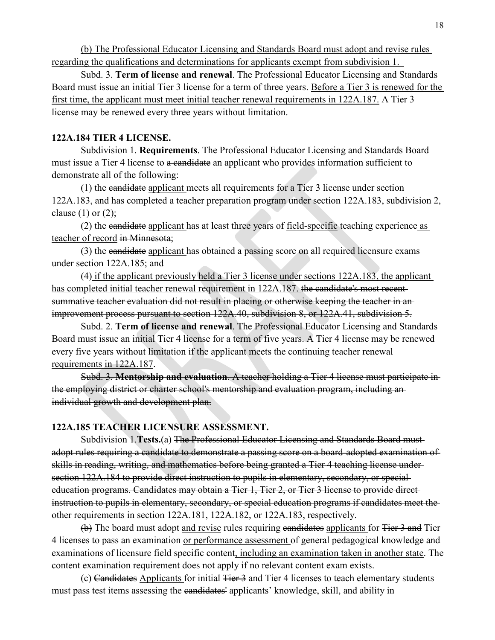(b) The Professional Educator Licensing and Standards Board must adopt and revise rules regarding the qualifications and determinations for applicants exempt from subdivision 1.

Subd. 3. **Term of license and renewal**. The Professional Educator Licensing and Standards Board must issue an initial Tier 3 license for a term of three years. Before a Tier 3 is renewed for the first time, the applicant must meet initial teacher renewal requirements in 122A.187. A Tier 3 license may be renewed every three years without limitation.

#### **122A.184 TIER 4 LICENSE.**

Subdivision 1. **Requirements**. The Professional Educator Licensing and Standards Board must issue a Tier 4 license to a candidate an applicant who provides information sufficient to demonstrate all of the following:

(1) the candidate applicant meets all requirements for a Tier 3 license under section 122A.183, and has completed a teacher preparation program under section 122A.183, subdivision 2, clause  $(1)$  or  $(2)$ ;

(2) the candidate applicant has at least three years of field-specific teaching experience as teacher of record in Minnesota;

(3) the candidate applicant has obtained a passing score on all required licensure exams under section 122A.185; and

(4) if the applicant previously held a Tier 3 license under sections 122A.183, the applicant has completed initial teacher renewal requirement in 122A.187. the candidate's most recentsummative teacher evaluation did not result in placing or otherwise keeping the teacher in an improvement process pursuant to section 122A.40, subdivision 8, or 122A.41, subdivision 5.

Subd. 2. **Term of license and renewal**. The Professional Educator Licensing and Standards Board must issue an initial Tier 4 license for a term of five years. A Tier 4 license may be renewed every five years without limitation if the applicant meets the continuing teacher renewal requirements in 122A.187.

Subd. 3. **Mentorship and evaluation**. A teacher holding a Tier 4 license must participate in the employing district or charter school's mentorship and evaluation program, including an individual growth and development plan.

## **122A.185 TEACHER LICENSURE ASSESSMENT.**

Subdivision 1.**Tests.**(a) The Professional Educator Licensing and Standards Board must adopt rules requiring a candidate to demonstrate a passing score on a board-adopted examination of skills in reading, writing, and mathematics before being granted a Tier 4 teaching license under section 122A.184 to provide direct instruction to pupils in elementary, secondary, or specialeducation programs. Candidates may obtain a Tier 1, Tier 2, or Tier 3 license to provide direct instruction to pupils in elementary, secondary, or special education programs if candidates meet the other requirements in section 122A.181, 122A.182, or 122A.183, respectively.

(b) The board must adopt and revise rules requiring eandidates applicants for Tier 3 and Tier 4 licenses to pass an examination or performance assessment of general pedagogical knowledge and examinations of licensure field specific content, including an examination taken in another state. The content examination requirement does not apply if no relevant content exam exists.

 $(c)$  Candidates Applicants for initial Tier 3 and Tier 4 licenses to teach elementary students must pass test items assessing the candidates' applicants' knowledge, skill, and ability in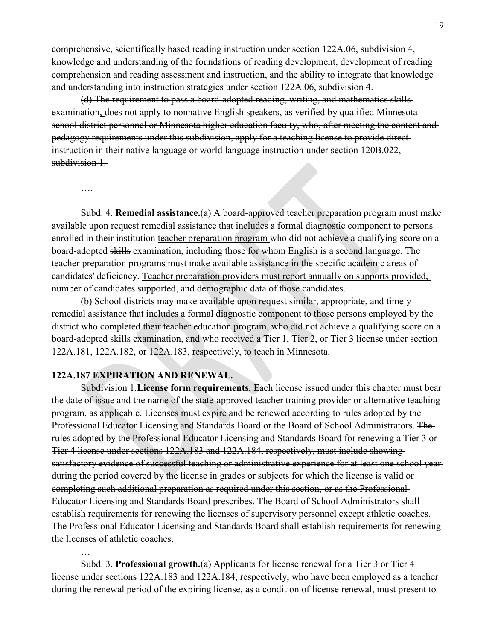comprehensive, scientifically based reading instruction under section 122A.06, subdivision 4, knowledge and understanding of the foundations of reading development, development of reading comprehension and reading assessment and instruction, and the ability to integrate that knowledge and understanding into instruction strategies under section 122A.06, subdivision 4.

(d) The requirement to pass a board-adopted reading, writing, and mathematics skills examination, does not apply to nonnative English speakers, as verified by qualified Minnesota school district personnel or Minnesota higher education faculty, who, after meeting the content and pedagogy requirements under this subdivision, apply for a teaching license to provide direct instruction in their native language or world language instruction under section 120B.022, subdivision 1.

….

…

Subd. 4. **Remedial assistance.**(a) A board-approved teacher preparation program must make available upon request remedial assistance that includes a formal diagnostic component to persons enrolled in their institution teacher preparation program who did not achieve a qualifying score on a board-adopted skills examination, including those for whom English is a second language. The teacher preparation programs must make available assistance in the specific academic areas of candidates' deficiency. Teacher preparation providers must report annually on supports provided, number of candidates supported, and demographic data of those candidates.

(b) School districts may make available upon request similar, appropriate, and timely remedial assistance that includes a formal diagnostic component to those persons employed by the district who completed their teacher education program, who did not achieve a qualifying score on a board-adopted skills examination, and who received a Tier 1, Tier 2, or Tier 3 license under section 122A.181, 122A.182, or 122A.183, respectively, to teach in Minnesota.

#### **122A.187 EXPIRATION AND RENEWAL.**

Subdivision 1.**License form requirements.** Each license issued under this chapter must bear the date of issue and the name of the state-approved teacher training provider or alternative teaching program, as applicable. Licenses must expire and be renewed according to rules adopted by the Professional Educator Licensing and Standards Board or the Board of School Administrators. The rules adopted by the Professional Educator Licensing and Standards Board for renewing a Tier 3 or Tier 4 license under sections 122A.183 and 122A.184, respectively, must include showing satisfactory evidence of successful teaching or administrative experience for at least one school year during the period covered by the license in grades or subjects for which the license is valid or completing such additional preparation as required under this section, or as the Professional Educator Licensing and Standards Board prescribes. The Board of School Administrators shall establish requirements for renewing the licenses of supervisory personnel except athletic coaches. The Professional Educator Licensing and Standards Board shall establish requirements for renewing the licenses of athletic coaches.

Subd. 3. **Professional growth.**(a) Applicants for license renewal for a Tier 3 or Tier 4 license under sections 122A.183 and 122A.184, respectively, who have been employed as a teacher during the renewal period of the expiring license, as a condition of license renewal, must present to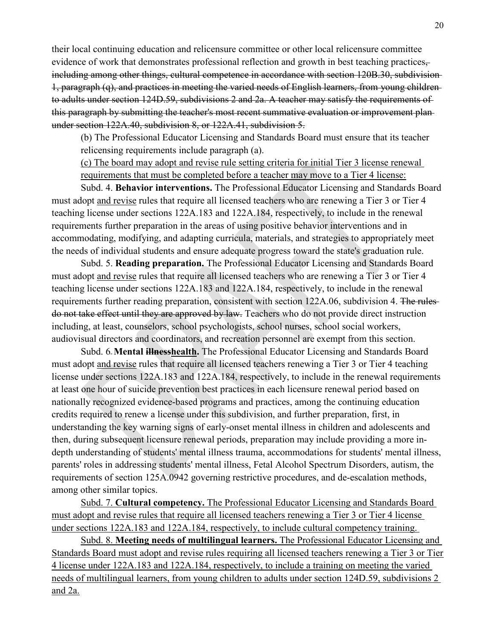their local continuing education and relicensure committee or other local relicensure committee evidence of work that demonstrates professional reflection and growth in best teaching practices, including among other things, cultural competence in accordance with section 120B.30, subdivision 1, paragraph (q), and practices in meeting the varied needs of English learners, from young children to adults under section 124D.59, subdivisions 2 and 2a. A teacher may satisfy the requirements of this paragraph by submitting the teacher's most recent summative evaluation or improvement plan under section 122A.40, subdivision 8, or 122A.41, subdivision 5.

(b) The Professional Educator Licensing and Standards Board must ensure that its teacher relicensing requirements include paragraph (a).

(c) The board may adopt and revise rule setting criteria for initial Tier 3 license renewal requirements that must be completed before a teacher may move to a Tier 4 license:

Subd. 4. **Behavior interventions.** The Professional Educator Licensing and Standards Board must adopt and revise rules that require all licensed teachers who are renewing a Tier 3 or Tier 4 teaching license under sections 122A.183 and 122A.184, respectively, to include in the renewal requirements further preparation in the areas of using positive behavior interventions and in accommodating, modifying, and adapting curricula, materials, and strategies to appropriately meet the needs of individual students and ensure adequate progress toward the state's graduation rule.

Subd. 5. **Reading preparation.** The Professional Educator Licensing and Standards Board must adopt and revise rules that require all licensed teachers who are renewing a Tier 3 or Tier 4 teaching license under sections 122A.183 and 122A.184, respectively, to include in the renewal requirements further reading preparation, consistent with section 122A.06, subdivision 4. The rulesdo not take effect until they are approved by law. Teachers who do not provide direct instruction including, at least, counselors, school psychologists, school nurses, school social workers, audiovisual directors and coordinators, and recreation personnel are exempt from this section.

Subd. 6 **Mental illnesshealth.** The Professional Educator Licensing and Standards Board must adopt and revise rules that require all licensed teachers renewing a Tier 3 or Tier 4 teaching license under sections 122A.183 and 122A.184, respectively, to include in the renewal requirements at least one hour of suicide prevention best practices in each licensure renewal period based on nationally recognized evidence-based programs and practices, among the continuing education credits required to renew a license under this subdivision, and further preparation, first, in understanding the key warning signs of early-onset mental illness in children and adolescents and then, during subsequent licensure renewal periods, preparation may include providing a more indepth understanding of students' mental illness trauma, accommodations for students' mental illness, parents' roles in addressing students' mental illness, Fetal Alcohol Spectrum Disorders, autism, the requirements of section 125A.0942 governing restrictive procedures, and de-escalation methods, among other similar topics.

Subd. 7. **Cultural competency.** The Professional Educator Licensing and Standards Board must adopt and revise rules that require all licensed teachers renewing a Tier 3 or Tier 4 license under sections 122A.183 and 122A.184, respectively, to include cultural competency training.

Subd. 8. **Meeting needs of multilingual learners.** The Professional Educator Licensing and Standards Board must adopt and revise rules requiring all licensed teachers renewing a Tier 3 or Tier 4 license under 122A.183 and 122A.184, respectively, to include a training on meeting the varied needs of multilingual learners, from young children to adults under section 124D.59, subdivisions 2 and 2a.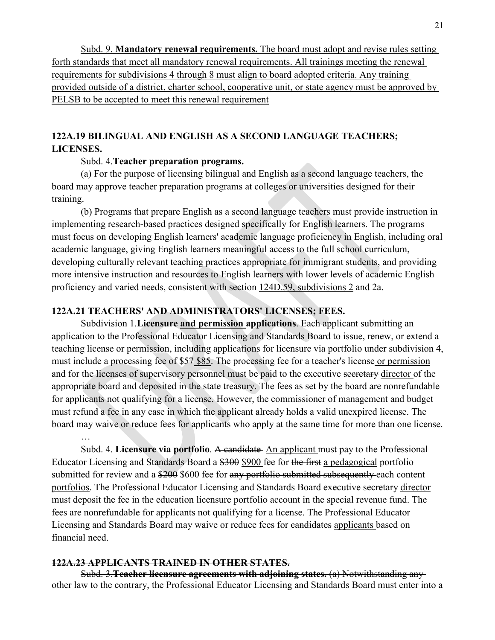Subd. 9. **Mandatory renewal requirements.** The board must adopt and revise rules setting forth standards that meet all mandatory renewal requirements. All trainings meeting the renewal requirements for subdivisions 4 through 8 must align to board adopted criteria. Any training provided outside of a district, charter school, cooperative unit, or state agency must be approved by PELSB to be accepted to meet this renewal requirement

# **122A.19 BILINGUAL AND ENGLISH AS A SECOND LANGUAGE TEACHERS; LICENSES.**

#### Subd. 4.**Teacher preparation programs.**

(a) For the purpose of licensing bilingual and English as a second language teachers, the board may approve teacher preparation programs at colleges or universities designed for their training.

(b) Programs that prepare English as a second language teachers must provide instruction in implementing research-based practices designed specifically for English learners. The programs must focus on developing English learners' academic language proficiency in English, including oral academic language, giving English learners meaningful access to the full school curriculum, developing culturally relevant teaching practices appropriate for immigrant students, and providing more intensive instruction and resources to English learners with lower levels of academic English proficiency and varied needs, consistent with section [124D.59, subdivisions 2](https://www.revisor.mn.gov/statutes/cite/124D.59) and 2a.

## **122A.21 TEACHERS' AND ADMINISTRATORS' LICENSES; FEES.**

Subdivision 1.**Licensure and permission applications**. Each applicant submitting an application to the Professional Educator Licensing and Standards Board to issue, renew, or extend a teaching license or permission, including applications for licensure via portfolio under subdivision 4, must include a processing fee of \$57 \$85. The processing fee for a teacher's license or permission and for the licenses of supervisory personnel must be paid to the executive secretary director of the appropriate board and deposited in the state treasury. The fees as set by the board are nonrefundable for applicants not qualifying for a license. However, the commissioner of management and budget must refund a fee in any case in which the applicant already holds a valid unexpired license. The board may waive or reduce fees for applicants who apply at the same time for more than one license.

Subd. 4. **Licensure via portfolio**. A candidate An applicant must pay to the Professional Educator Licensing and Standards Board a \$300 \$900 fee for the first a pedagogical portfolio submitted for review and a \$200 \$600 fee for any portfolio submitted subsequently each content portfolios. The Professional Educator Licensing and Standards Board executive secretary director must deposit the fee in the education licensure portfolio account in the special revenue fund. The fees are nonrefundable for applicants not qualifying for a license. The Professional Educator Licensing and Standards Board may waive or reduce fees for candidates applicants based on financial need.

## **122A.23 APPLICANTS TRAINED IN OTHER STATES.**

…

Subd. 3.**Teacher licensure agreements with adjoining states.** (a) Notwithstanding any other law to the contrary, the Professional Educator Licensing and Standards Board must enter into a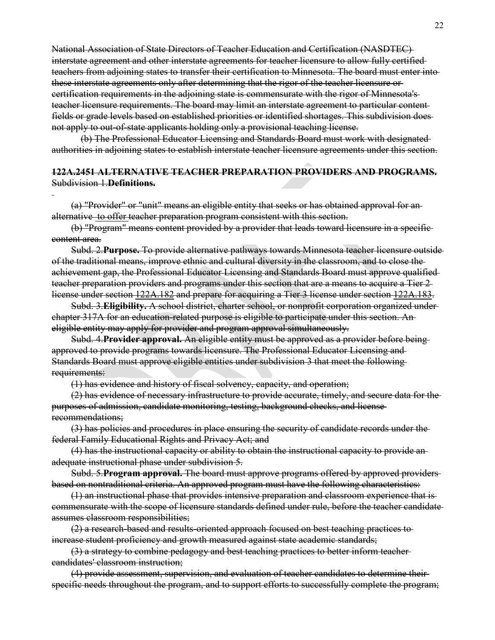National Association of State Directors of Teacher Education and Certification (NASDTEC) interstate agreement and other interstate agreements for teacher licensure to allow fully certified teachers from adjoining states to transfer their certification to Minnesota. The board must enter into these interstate agreements only after determining that the rigor of the teacher licensure or certification requirements in the adjoining state is commensurate with the rigor of Minnesota's teacher licensure requirements. The board may limit an interstate agreement to particular content fields or grade levels based on established priorities or identified shortages. This subdivision does not apply to out-of-state applicants holding only a provisional teaching license.

(b) The Professional Educator Licensing and Standards Board must work with designated authorities in adjoining states to establish interstate teacher licensure agreements under this section.

#### **122A.2451 ALTERNATIVE TEACHER PREPARATION PROVIDERS AND PROGRAMS.** Subdivision 1.**Definitions.**

(a) "Provider" or "unit" means an eligible entity that seeks or has obtained approval for an alternative to offer teacher preparation program consistent with this section.

(b) "Program" means content provided by a provider that leads toward licensure in a specific content area.

Subd. 2.**Purpose.** To provide alternative pathways towards Minnesota teacher licensure outside of the traditional means, improve ethnic and cultural diversity in the classroom, and to close the achievement gap, the Professional Educator Licensing and Standards Board must approve qualified teacher preparation providers and programs under this section that are a means to acquire a Tier 2 license under section [122A.182](https://www.revisor.mn.gov/statutes/cite/122A.182) and prepare for acquiring a Tier 3 license under section [122A.183.](https://www.revisor.mn.gov/statutes/cite/122A.183)

Subd. 3.**Eligibility.** A school district, charter school, or nonprofit corporation organized under chapter 317A for an education-related purpose is eligible to participate under this section. An eligible entity may apply for provider and program approval simultaneously.

Subd. 4.**Provider approval.** An eligible entity must be approved as a provider before being approved to provide programs towards licensure. The Professional Educator Licensing and Standards Board must approve eligible entities under subdivision 3 that meet the following requirements:

(1) has evidence and history of fiscal solvency, capacity, and operation;

(2) has evidence of necessary infrastructure to provide accurate, timely, and secure data for the purposes of admission, candidate monitoring, testing, background checks, and license recommendations;

(3) has policies and procedures in place ensuring the security of candidate records under the federal Family Educational Rights and Privacy Act; and

(4) has the instructional capacity or ability to obtain the instructional capacity to provide an adequate instructional phase under subdivision 5.

Subd. 5.**Program approval.** The board must approve programs offered by approved providers based on nontraditional criteria. An approved program must have the following characteristics:

(1) an instructional phase that provides intensive preparation and classroom experience that is commensurate with the scope of licensure standards defined under rule, before the teacher candidate assumes classroom responsibilities;

(2) a research-based and results-oriented approach focused on best teaching practices to increase student proficiency and growth measured against state academic standards;

(3) a strategy to combine pedagogy and best teaching practices to better inform teacher candidates' classroom instruction;

(4) provide assessment, supervision, and evaluation of teacher candidates to determine their specific needs throughout the program, and to support efforts to successfully complete the program;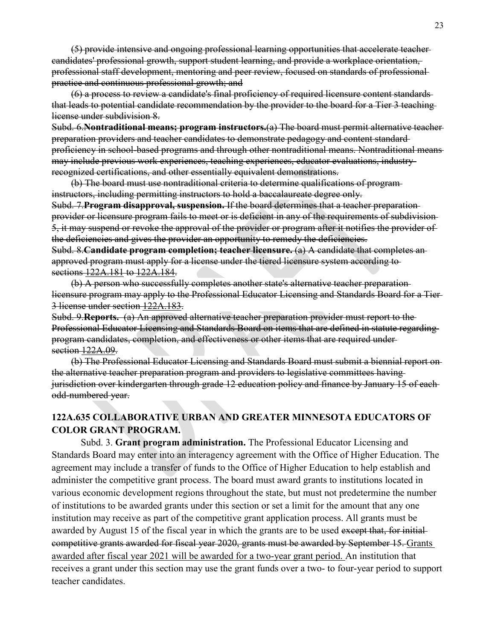(5) provide intensive and ongoing professional learning opportunities that accelerate teacher candidates' professional growth, support student learning, and provide a workplace orientation, professional staff development, mentoring and peer review, focused on standards of professional practice and continuous professional growth; and

(6) a process to review a candidate's final proficiency of required licensure content standards that leads to potential candidate recommendation by the provider to the board for a Tier 3 teaching license under subdivision 8.

Subd. 6.**Nontraditional means; program instructors.**(a) The board must permit alternative teacher preparation providers and teacher candidates to demonstrate pedagogy and content standard proficiency in school-based programs and through other nontraditional means. Nontraditional means may include previous work experiences, teaching experiences, educator evaluations, industryrecognized certifications, and other essentially equivalent demonstrations.

(b) The board must use nontraditional criteria to determine qualifications of program instructors, including permitting instructors to hold a baccalaureate degree only. Subd. 7.**Program disapproval, suspension.** If the board determines that a teacher preparation provider or licensure program fails to meet or is deficient in any of the requirements of subdivision 5, it may suspend or revoke the approval of the provider or program after it notifies the provider of the deficiencies and gives the provider an opportunity to remedy the deficiencies. Subd. 8.**Candidate program completion; teacher licensure.** (a) A candidate that completes an approved program must apply for a license under the tiered licensure system according to

sections [122A.181](https://www.revisor.mn.gov/statutes/cite/122A.181) to [122A.184.](https://www.revisor.mn.gov/statutes/cite/122A.184)

(b) A person who successfully completes another state's alternative teacher preparation licensure program may apply to the Professional Educator Licensing and Standards Board for a Tier 3 license under section [122A.183.](https://www.revisor.mn.gov/statutes/cite/122A.183)

Subd. 9.**Reports.** (a) An approved alternative teacher preparation provider must report to the Professional Educator Licensing and Standards Board on items that are defined in statute regarding program candidates, completion, and effectiveness or other items that are required under section [122A.09.](https://www.revisor.mn.gov/statutes/cite/122A.09)

(b) The Professional Educator Licensing and Standards Board must submit a biennial report on the alternative teacher preparation program and providers to legislative committees having jurisdiction over kindergarten through grade 12 education policy and finance by January 15 of each odd-numbered year.

# **122A.635 COLLABORATIVE URBAN AND GREATER MINNESOTA EDUCATORS OF COLOR GRANT PROGRAM.**

Subd. 3. **Grant program administration.** The Professional Educator Licensing and Standards Board may enter into an interagency agreement with the Office of Higher Education. The agreement may include a transfer of funds to the Office of Higher Education to help establish and administer the competitive grant process. The board must award grants to institutions located in various economic development regions throughout the state, but must not predetermine the number of institutions to be awarded grants under this section or set a limit for the amount that any one institution may receive as part of the competitive grant application process. All grants must be awarded by August 15 of the fiscal year in which the grants are to be used except that, for initialcompetitive grants awarded for fiscal year 2020, grants must be awarded by September 15. Grants awarded after fiscal year 2021 will be awarded for a two-year grant period. An institution that receives a grant under this section may use the grant funds over a two- to four-year period to support teacher candidates.